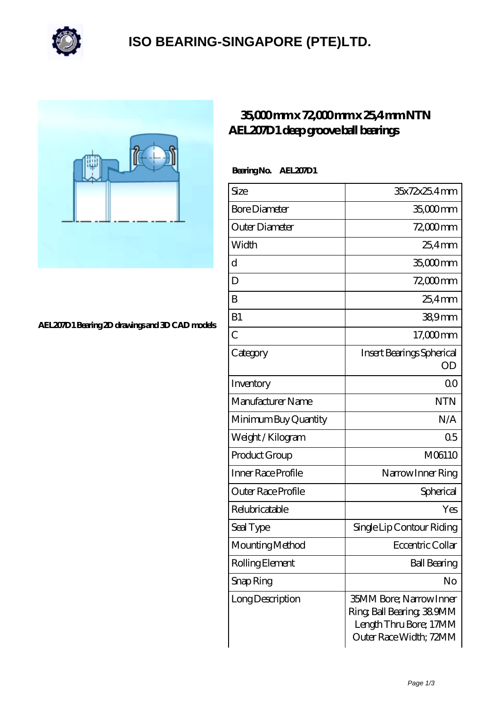

### **[ISO BEARING-SINGAPORE \(PTE\)LTD.](https://m.calvadosbnb.com)**



### **[AEL207D1 Bearing 2D drawings and 3D CAD models](https://m.calvadosbnb.com/pic-65129420.html)**

### **[35,000 mm x 72,000 mm x 25,4 mm NTN](https://m.calvadosbnb.com/ntn-ael207d1-bearing/) [AEL207D1 deep groove ball bearings](https://m.calvadosbnb.com/ntn-ael207d1-bearing/)**

#### **Bearing No. AEL207D1**

| Size                 | 35x72x25.4mm                                                                                                      |
|----------------------|-------------------------------------------------------------------------------------------------------------------|
| <b>Bore Diameter</b> | 35,000 mm                                                                                                         |
| Outer Diameter       | 72,000 mm                                                                                                         |
| Width                | $254$ mm                                                                                                          |
| d                    | 35,000 mm                                                                                                         |
| D                    | 72,000 mm                                                                                                         |
| B                    | $254$ mm                                                                                                          |
| B1                   | 38,9mm                                                                                                            |
| $\overline{C}$       | $17,000$ mm                                                                                                       |
| Category             | Insert Bearings Spherical<br>OD                                                                                   |
| Inventory            | 0 <sub>0</sub>                                                                                                    |
| Manufacturer Name    | <b>NTN</b>                                                                                                        |
| Minimum Buy Quantity | N/A                                                                                                               |
| Weight/Kilogram      | 0 <sub>5</sub>                                                                                                    |
| Product Group        | M06110                                                                                                            |
| Inner Race Profile   | Narrow Inner Ring                                                                                                 |
| Outer Race Profile   | Spherical                                                                                                         |
| Relubricatable       | Yes                                                                                                               |
| Seal Type            | Single Lip Contour Riding                                                                                         |
| Mounting Method      | Eccentric Collar                                                                                                  |
| Rolling Element      | <b>Ball Bearing</b>                                                                                               |
| Snap Ring            | No                                                                                                                |
| Long Description     | <b>35MM Bore</b> ; Narrow Inner<br>Ring, Ball Bearing, 38,9MM<br>Length Thru Bore; 17MM<br>Outer Race Width; 72MM |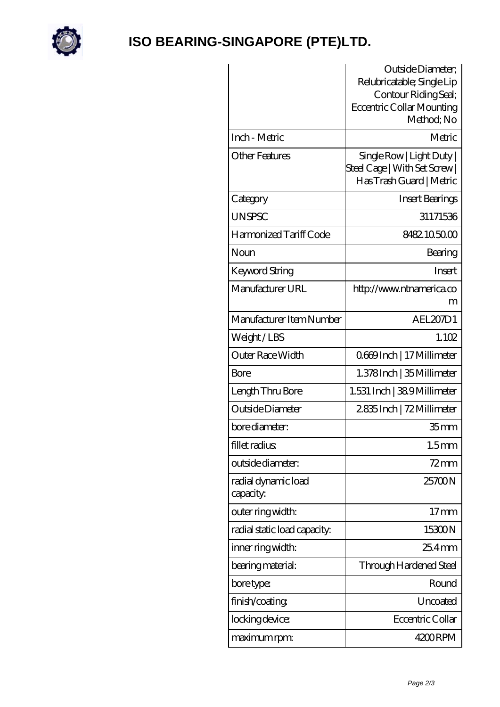

# **[ISO BEARING-SINGAPORE \(PTE\)LTD.](https://m.calvadosbnb.com)**

|                                  | Outside Diameter;<br>Relubricatable; Single Lip<br>Contour Riding Seal;<br><b>Eccentric Collar Mounting</b><br>Method; No |
|----------------------------------|---------------------------------------------------------------------------------------------------------------------------|
| Inch - Metric                    | Metric                                                                                                                    |
| Other Features                   | Single Row   Light Duty  <br>Steel Cage   With Set Screw  <br>Has Trash Guard   Metric                                    |
| Category                         | Insert Bearings                                                                                                           |
| <b>UNSPSC</b>                    | 31171536                                                                                                                  |
| Harmonized Tariff Code           | 8482105000                                                                                                                |
| Noun                             | Bearing                                                                                                                   |
| Keyword String                   | Insert                                                                                                                    |
| Manufacturer URL                 | http://www.ntnamerica.co<br>m                                                                                             |
| Manufacturer Item Number         | AEL207D1                                                                                                                  |
| Weight/LBS                       | 1.102                                                                                                                     |
| Outer Race Width                 | 0669Inch   17 Millimeter                                                                                                  |
| Bore                             | 1.378 Inch   35 Millimeter                                                                                                |
| Length Thru Bore                 | 1.531 Inch   389 Millimeter                                                                                               |
| Outside Diameter                 | 2835Inch   72Millimeter                                                                                                   |
| bore diameter:                   | 35 <sub>mm</sub>                                                                                                          |
| fillet radius                    | 1.5 <sub>mm</sub>                                                                                                         |
| outside diameter:                | 72 mm                                                                                                                     |
| radial dynamic load<br>capacity. | 25700N                                                                                                                    |
| outer ring width:                | $17 \text{mm}$                                                                                                            |
| radial static load capacity:     | 15300N                                                                                                                    |
| inner ring width:                | $254$ mm                                                                                                                  |
| bearing material:                | Through Hardened Steel                                                                                                    |
| bore type:                       | Round                                                                                                                     |
| finish/coating                   | Uncoated                                                                                                                  |
| locking device:                  | Eccentric Collar                                                                                                          |
| maximum rpm:                     | 4200RPM                                                                                                                   |